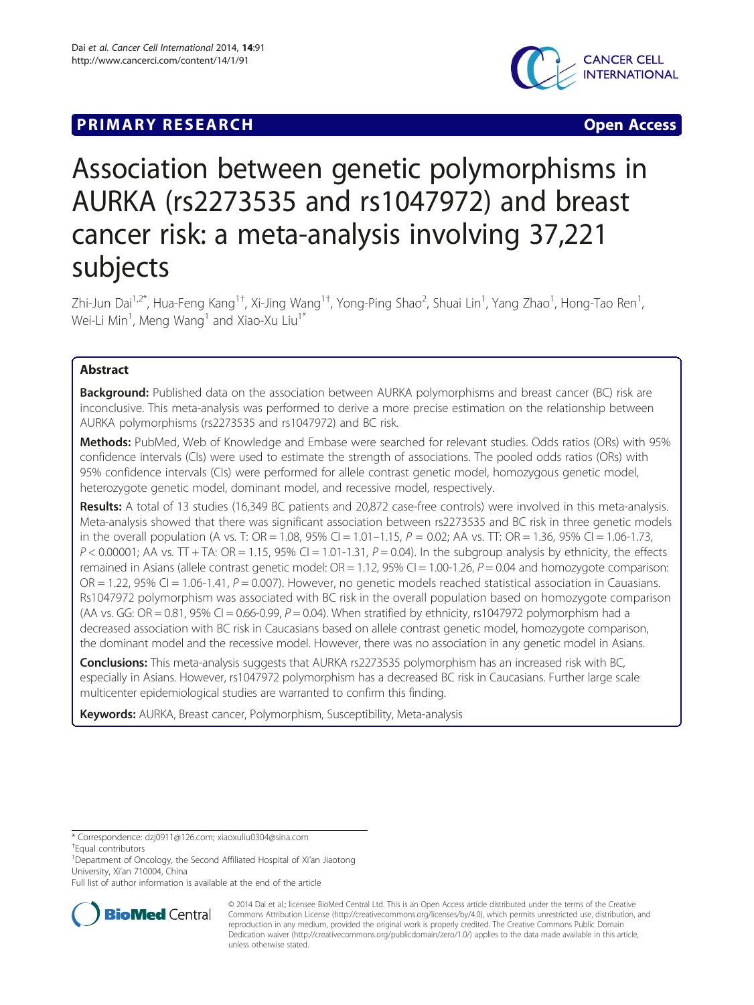# **PRIMARY RESEARCH CONSTRUCTION CONSTRUCTS**



# Association between genetic polymorphisms in AURKA (rs2273535 and rs1047972) and breast cancer risk: a meta-analysis involving 37,221 subjects

Zhi-Jun Dai<sup>1,2\*</sup>, Hua-Feng Kang<sup>1†</sup>, Xi-Jing Wang<sup>1†</sup>, Yong-Ping Shao<sup>2</sup>, Shuai Lin<sup>1</sup>, Yang Zhao<sup>1</sup>, Hong-Tao Ren<sup>1</sup> , Wei-Li Min $^{\rm 1}$ , Meng Wang $^{\rm 1}$  and Xiao-Xu Liu $^{\rm 1*}$ 

# Abstract

Background: Published data on the association between AURKA polymorphisms and breast cancer (BC) risk are inconclusive. This meta-analysis was performed to derive a more precise estimation on the relationship between AURKA polymorphisms (rs2273535 and rs1047972) and BC risk.

Methods: PubMed, Web of Knowledge and Embase were searched for relevant studies. Odds ratios (ORs) with 95% confidence intervals (CIs) were used to estimate the strength of associations. The pooled odds ratios (ORs) with 95% confidence intervals (CIs) were performed for allele contrast genetic model, homozygous genetic model, heterozygote genetic model, dominant model, and recessive model, respectively.

Results: A total of 13 studies (16,349 BC patients and 20,872 case-free controls) were involved in this meta-analysis. Meta-analysis showed that there was significant association between rs2273535 and BC risk in three genetic models in the overall population (A vs. T: OR = 1.08, 95% CI = 1.01–1.15,  $P = 0.02$ ; AA vs. TT: OR = 1.36, 95% CI = 1.06-1.73,  $P < 0.00001$ ; AA vs. TT + TA: OR = 1.15, 95% CI = 1.01-1.31,  $P = 0.04$ ). In the subgroup analysis by ethnicity, the effects remained in Asians (allele contrast genetic model:  $OR = 1.12$ ,  $95\%$  CI = 1.00-1.26,  $P = 0.04$  and homozygote comparison:  $OR = 1.22$ , 95% CI = 1.06-1.41,  $P = 0.007$ ). However, no genetic models reached statistical association in Cauasians. Rs1047972 polymorphism was associated with BC risk in the overall population based on homozygote comparison (AA vs. GG: OR = 0.81, 95% CI = 0.66-0.99,  $P = 0.04$ ). When stratified by ethnicity, rs1047972 polymorphism had a decreased association with BC risk in Caucasians based on allele contrast genetic model, homozygote comparison, the dominant model and the recessive model. However, there was no association in any genetic model in Asians.

**Conclusions:** This meta-analysis suggests that AURKA rs2273535 polymorphism has an increased risk with BC, especially in Asians. However, rs1047972 polymorphism has a decreased BC risk in Caucasians. Further large scale multicenter epidemiological studies are warranted to confirm this finding.

Keywords: AURKA, Breast cancer, Polymorphism, Susceptibility, Meta-analysis

\* Correspondence: [dzj0911@126.com](mailto:dzj0911@126.com); [xiaoxuliu0304@sina.com](mailto:xiaoxuliu0304@sina.com) †

Equal contributors

<sup>1</sup>Department of Oncology, the Second Affiliated Hospital of Xi'an Jiaotong University, Xi'an 710004, China

Full list of author information is available at the end of the article



<sup>© 2014</sup> Dai et al.; licensee BioMed Central Ltd. This is an Open Access article distributed under the terms of the Creative Commons Attribution License [\(http://creativecommons.org/licenses/by/4.0\)](http://creativecommons.org/licenses/by/4.0), which permits unrestricted use, distribution, and reproduction in any medium, provided the original work is properly credited. The Creative Commons Public Domain Dedication waiver [\(http://creativecommons.org/publicdomain/zero/1.0/](http://creativecommons.org/publicdomain/zero/1.0/)) applies to the data made available in this article, unless otherwise stated.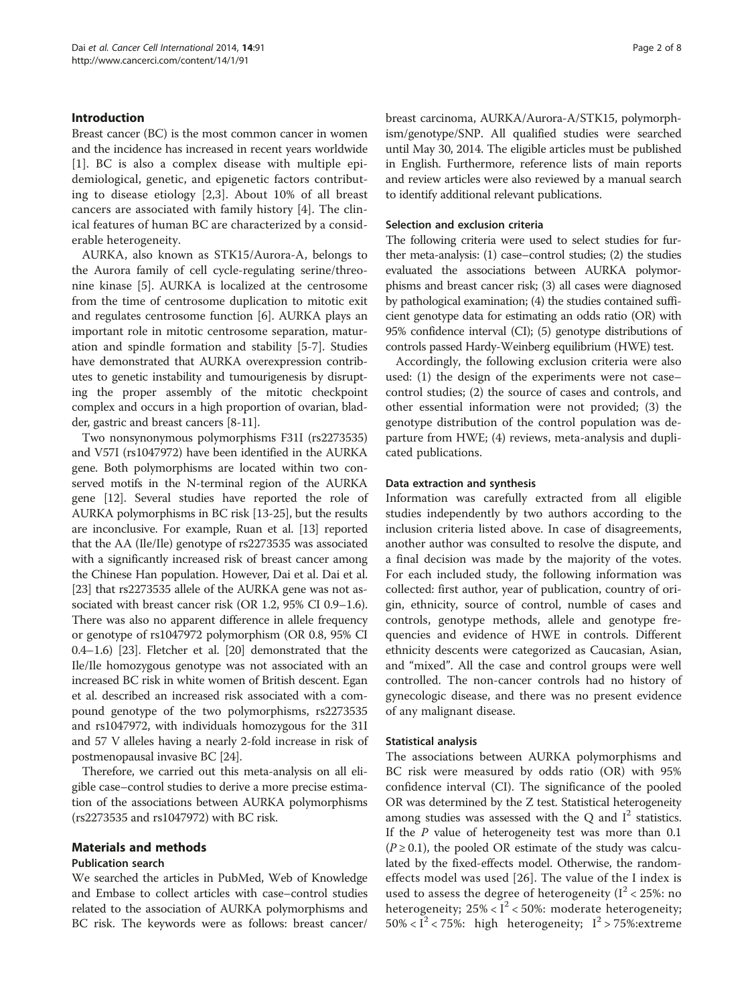# Introduction

Breast cancer (BC) is the most common cancer in women and the incidence has increased in recent years worldwide [[1\]](#page-7-0). BC is also a complex disease with multiple epidemiological, genetic, and epigenetic factors contributing to disease etiology [[2,3\]](#page-7-0). About 10% of all breast cancers are associated with family history [[4](#page-7-0)]. The clinical features of human BC are characterized by a considerable heterogeneity.

AURKA, also known as STK15/Aurora-A, belongs to the Aurora family of cell cycle-regulating serine/threonine kinase [[5\]](#page-7-0). AURKA is localized at the centrosome from the time of centrosome duplication to mitotic exit and regulates centrosome function [[6](#page-7-0)]. AURKA plays an important role in mitotic centrosome separation, maturation and spindle formation and stability [\[5-7](#page-7-0)]. Studies have demonstrated that AURKA overexpression contributes to genetic instability and tumourigenesis by disrupting the proper assembly of the mitotic checkpoint complex and occurs in a high proportion of ovarian, bladder, gastric and breast cancers [\[8](#page-7-0)-[11](#page-7-0)].

Two nonsynonymous polymorphisms F31I (rs2273535) and V57I (rs1047972) have been identified in the AURKA gene. Both polymorphisms are located within two conserved motifs in the N-terminal region of the AURKA gene [\[12\]](#page-7-0). Several studies have reported the role of AURKA polymorphisms in BC risk [[13](#page-7-0)-[25](#page-7-0)], but the results are inconclusive. For example, Ruan et al. [\[13\]](#page-7-0) reported that the AA (Ile/Ile) genotype of rs2273535 was associated with a significantly increased risk of breast cancer among the Chinese Han population. However, Dai et al. Dai et al. [[23](#page-7-0)] that rs2273535 allele of the AURKA gene was not associated with breast cancer risk (OR 1.2, 95% CI 0.9–1.6). There was also no apparent difference in allele frequency or genotype of rs1047972 polymorphism (OR 0.8, 95% CI 0.4–1.6) [[23](#page-7-0)]. Fletcher et al. [\[20\]](#page-7-0) demonstrated that the Ile/Ile homozygous genotype was not associated with an increased BC risk in white women of British descent. Egan et al. described an increased risk associated with a compound genotype of the two polymorphisms, rs2273535 and rs1047972, with individuals homozygous for the 31I and 57 V alleles having a nearly 2-fold increase in risk of postmenopausal invasive BC [\[24](#page-7-0)].

Therefore, we carried out this meta-analysis on all eligible case–control studies to derive a more precise estimation of the associations between AURKA polymorphisms (rs2273535 and rs1047972) with BC risk.

# Materials and methods

# Publication search

We searched the articles in PubMed, Web of Knowledge and Embase to collect articles with case–control studies related to the association of AURKA polymorphisms and BC risk. The keywords were as follows: breast cancer/

breast carcinoma, AURKA/Aurora-A/STK15, polymorphism/genotype/SNP. All qualified studies were searched until May 30, 2014. The eligible articles must be published in English. Furthermore, reference lists of main reports and review articles were also reviewed by a manual search to identify additional relevant publications.

#### Selection and exclusion criteria

The following criteria were used to select studies for further meta-analysis: (1) case–control studies; (2) the studies evaluated the associations between AURKA polymorphisms and breast cancer risk; (3) all cases were diagnosed by pathological examination; (4) the studies contained sufficient genotype data for estimating an odds ratio (OR) with 95% confidence interval (CI); (5) genotype distributions of controls passed Hardy-Weinberg equilibrium (HWE) test.

Accordingly, the following exclusion criteria were also used: (1) the design of the experiments were not case– control studies; (2) the source of cases and controls, and other essential information were not provided; (3) the genotype distribution of the control population was departure from HWE; (4) reviews, meta-analysis and duplicated publications.

### Data extraction and synthesis

Information was carefully extracted from all eligible studies independently by two authors according to the inclusion criteria listed above. In case of disagreements, another author was consulted to resolve the dispute, and a final decision was made by the majority of the votes. For each included study, the following information was collected: first author, year of publication, country of origin, ethnicity, source of control, numble of cases and controls, genotype methods, allele and genotype frequencies and evidence of HWE in controls. Different ethnicity descents were categorized as Caucasian, Asian, and "mixed". All the case and control groups were well controlled. The non-cancer controls had no history of gynecologic disease, and there was no present evidence of any malignant disease.

#### Statistical analysis

The associations between AURKA polymorphisms and BC risk were measured by odds ratio (OR) with 95% confidence interval (CI). The significance of the pooled OR was determined by the Z test. Statistical heterogeneity among studies was assessed with the  $Q$  and  $I^2$  statistics. If the P value of heterogeneity test was more than 0.1  $(P \ge 0.1)$ , the pooled OR estimate of the study was calculated by the fixed-effects model. Otherwise, the randomeffects model was used [[26\]](#page-7-0). The value of the I index is used to assess the degree of heterogeneity ( $I^2$  < 25%: no heterogeneity;  $25\% < I^2 < 50\%$ : moderate heterogeneity; 50% <  $I^2$  < 75%: high heterogeneity;  $I^2$  > 75%: extreme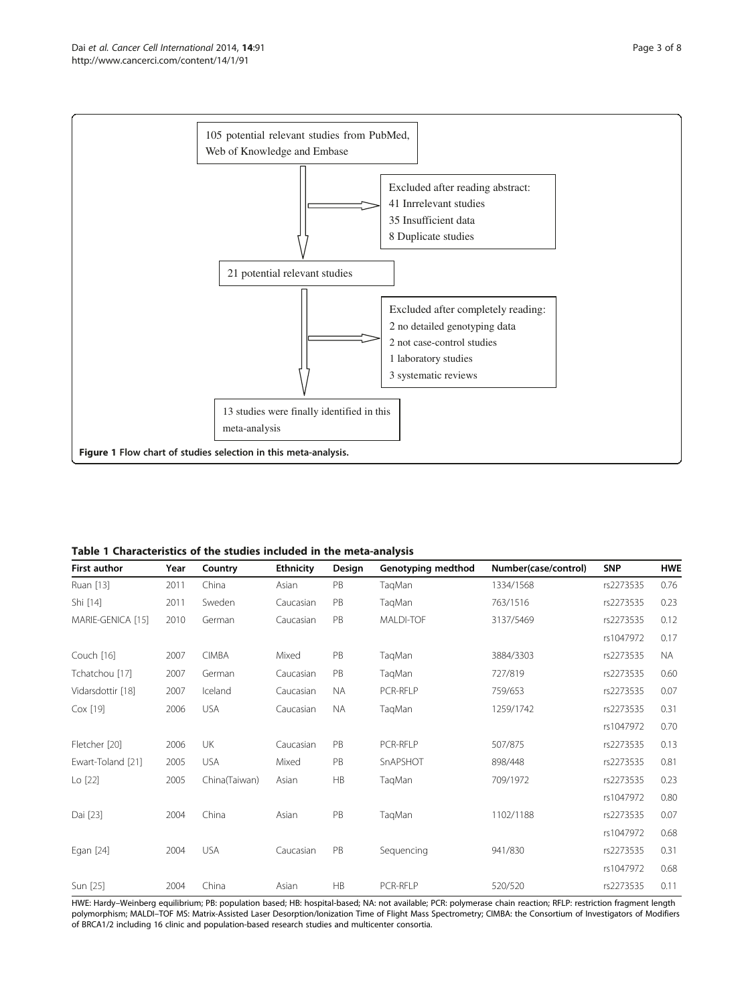<span id="page-2-0"></span>

Table 1 Characteristics of the studies included in the meta-analysis

| <b>First author</b> | Year | Country       | <b>Ethnicity</b> | Design    | Genotyping medthod | Number(case/control) | <b>SNP</b> | <b>HWE</b> |
|---------------------|------|---------------|------------------|-----------|--------------------|----------------------|------------|------------|
| Ruan [13]           | 2011 | China         | Asian            | PB        | TaqMan             | 1334/1568            | rs2273535  | 0.76       |
| Shi [14]            | 2011 | Sweden        | Caucasian        | PB        | TaqMan             | 763/1516             | rs2273535  | 0.23       |
| MARIE-GENICA [15]   | 2010 | German        | Caucasian        | PB        | MALDI-TOF          | 3137/5469            | rs2273535  | 0.12       |
|                     |      |               |                  |           |                    |                      | rs1047972  | 0.17       |
| Couch [16]          | 2007 | <b>CIMBA</b>  | Mixed            | PB        | TaqMan             | 3884/3303            | rs2273535  | <b>NA</b>  |
| Tchatchou [17]      | 2007 | German        | Caucasian        | PB        | TaqMan             | 727/819              | rs2273535  | 0.60       |
| Vidarsdottir [18]   | 2007 | Iceland       | Caucasian        | <b>NA</b> | PCR-RFLP           | 759/653              | rs2273535  | 0.07       |
| Cox [19]            | 2006 | <b>USA</b>    | Caucasian        | <b>NA</b> | TaqMan             | 1259/1742            | rs2273535  | 0.31       |
|                     |      |               |                  |           |                    |                      | rs1047972  | 0.70       |
| Fletcher [20]       | 2006 | <b>UK</b>     | Caucasian        | PB        | PCR-RFLP           | 507/875              | rs2273535  | 0.13       |
| Ewart-Toland [21]   | 2005 | <b>USA</b>    | Mixed            | PB        | SnAPSHOT           | 898/448              | rs2273535  | 0.81       |
| Lo [22]             | 2005 | China(Taiwan) | Asian            | HB        | TaqMan             | 709/1972             | rs2273535  | 0.23       |
|                     |      |               |                  |           |                    |                      | rs1047972  | 0.80       |
| Dai [23]            | 2004 | China         | Asian            | PB        | TaqMan             | 1102/1188            | rs2273535  | 0.07       |
|                     |      |               |                  |           |                    |                      | rs1047972  | 0.68       |
| Egan [24]           | 2004 | <b>USA</b>    | Caucasian        | PB        | Sequencing         | 941/830              | rs2273535  | 0.31       |
|                     |      |               |                  |           |                    |                      | rs1047972  | 0.68       |
| Sun [25]            | 2004 | China         | Asian            | HB        | PCR-RFLP           | 520/520              | rs2273535  | 0.11       |

HWE: Hardy–Weinberg equilibrium; PB: population based; HB: hospital-based; NA: not available; PCR: polymerase chain reaction; RFLP: restriction fragment length polymorphism; MALDI–TOF MS: Matrix-Assisted Laser Desorption/Ionization Time of Flight Mass Spectrometry; CIMBA: the Consortium of Investigators of Modifiers of BRCA1/2 including 16 clinic and population-based research studies and multicenter consortia.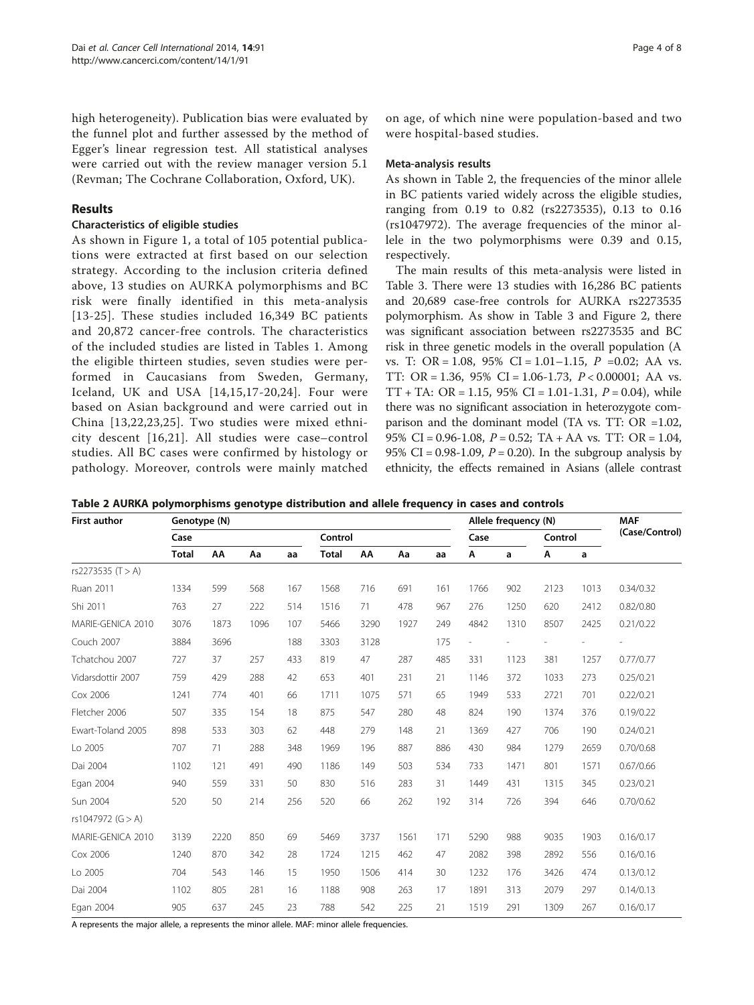high heterogeneity). Publication bias were evaluated by the funnel plot and further assessed by the method of Egger's linear regression test. All statistical analyses were carried out with the review manager version 5.1 (Revman; The Cochrane Collaboration, Oxford, UK).

# Results

#### Characteristics of eligible studies

As shown in Figure [1,](#page-2-0) a total of 105 potential publications were extracted at first based on our selection strategy. According to the inclusion criteria defined above, 13 studies on AURKA polymorphisms and BC risk were finally identified in this meta-analysis [[13-25\]](#page-7-0). These studies included 16,349 BC patients and 20,872 cancer-free controls. The characteristics of the included studies are listed in Tables [1](#page-2-0). Among the eligible thirteen studies, seven studies were performed in Caucasians from Sweden, Germany, Iceland, UK and USA [[14](#page-7-0),[15,17-20,24\]](#page-7-0). Four were based on Asian background and were carried out in China [\[13,22,23,25](#page-7-0)]. Two studies were mixed ethnicity descent [[16](#page-7-0),[21\]](#page-7-0). All studies were case–control studies. All BC cases were confirmed by histology or pathology. Moreover, controls were mainly matched on age, of which nine were population-based and two were hospital-based studies.

#### Meta-analysis results

As shown in Table 2, the frequencies of the minor allele in BC patients varied widely across the eligible studies, ranging from 0.19 to 0.82 (rs2273535), 0.13 to 0.16 (rs1047972). The average frequencies of the minor allele in the two polymorphisms were 0.39 and 0.15, respectively.

The main results of this meta-analysis were listed in Table [3](#page-4-0). There were 13 studies with 16,286 BC patients and 20,689 case-free controls for AURKA rs2273535 polymorphism. As show in Table [3](#page-4-0) and Figure [2](#page-5-0), there was significant association between rs2273535 and BC risk in three genetic models in the overall population (A vs. T: OR = 1.08, 95% CI = 1.01–1.15,  $P = 0.02$ ; AA vs. TT: OR = 1.36, 95% CI = 1.06-1.73, P < 0.00001; AA vs. TT + TA: OR = 1.15, 95% CI = 1.01-1.31,  $P = 0.04$ ), while there was no significant association in heterozygote comparison and the dominant model (TA vs. TT: OR =1.02, 95% CI = 0.96-1.08,  $P = 0.52$ ; TA + AA vs. TT: OR = 1.04, 95% CI = 0.98-1.09,  $P = 0.20$ ). In the subgroup analysis by ethnicity, the effects remained in Asians (allele contrast

Table 2 AURKA polymorphisms genotype distribution and allele frequency in cases and controls

| <b>First author</b> | Genotype (N) |      |      |     |              | Allele frequency (N) |      |      |      | <b>MAF</b> |      |                |           |
|---------------------|--------------|------|------|-----|--------------|----------------------|------|------|------|------------|------|----------------|-----------|
|                     | Case         |      |      |     | Control      |                      |      | Case |      | Control    |      | (Case/Control) |           |
|                     | <b>Total</b> | AA   | Aa   | aa  | <b>Total</b> | AA                   | Aa   | aa   | Α    | a          | Α    | a              |           |
| rs2273535 (T > A)   |              |      |      |     |              |                      |      |      |      |            |      |                |           |
| Ruan 2011           | 1334         | 599  | 568  | 167 | 1568         | 716                  | 691  | 161  | 1766 | 902        | 2123 | 1013           | 0.34/0.32 |
| Shi 2011            | 763          | 27   | 222  | 514 | 1516         | 71                   | 478  | 967  | 276  | 1250       | 620  | 2412           | 0.82/0.80 |
| MARIE-GENICA 2010   | 3076         | 1873 | 1096 | 107 | 5466         | 3290                 | 1927 | 249  | 4842 | 1310       | 8507 | 2425           | 0.21/0.22 |
| Couch 2007          | 3884         | 3696 |      | 188 | 3303         | 3128                 |      | 175  |      |            |      |                |           |
| Tchatchou 2007      | 727          | 37   | 257  | 433 | 819          | 47                   | 287  | 485  | 331  | 1123       | 381  | 1257           | 0.77/0.77 |
| Vidarsdottir 2007   | 759          | 429  | 288  | 42  | 653          | 401                  | 231  | 21   | 1146 | 372        | 1033 | 273            | 0.25/0.21 |
| Cox 2006            | 1241         | 774  | 401  | 66  | 1711         | 1075                 | 571  | 65   | 1949 | 533        | 2721 | 701            | 0.22/0.21 |
| Fletcher 2006       | 507          | 335  | 154  | 18  | 875          | 547                  | 280  | 48   | 824  | 190        | 1374 | 376            | 0.19/0.22 |
| Ewart-Toland 2005   | 898          | 533  | 303  | 62  | 448          | 279                  | 148  | 21   | 1369 | 427        | 706  | 190            | 0.24/0.21 |
| Lo 2005             | 707          | 71   | 288  | 348 | 1969         | 196                  | 887  | 886  | 430  | 984        | 1279 | 2659           | 0.70/0.68 |
| Dai 2004            | 1102         | 121  | 491  | 490 | 1186         | 149                  | 503  | 534  | 733  | 1471       | 801  | 1571           | 0.67/0.66 |
| Egan 2004           | 940          | 559  | 331  | 50  | 830          | 516                  | 283  | 31   | 1449 | 431        | 1315 | 345            | 0.23/0.21 |
| Sun 2004            | 520          | 50   | 214  | 256 | 520          | 66                   | 262  | 192  | 314  | 726        | 394  | 646            | 0.70/0.62 |
| rs1047972 (G > A)   |              |      |      |     |              |                      |      |      |      |            |      |                |           |
| MARIE-GENICA 2010   | 3139         | 2220 | 850  | 69  | 5469         | 3737                 | 1561 | 171  | 5290 | 988        | 9035 | 1903           | 0.16/0.17 |
| Cox 2006            | 1240         | 870  | 342  | 28  | 1724         | 1215                 | 462  | 47   | 2082 | 398        | 2892 | 556            | 0.16/0.16 |
| Lo 2005             | 704          | 543  | 146  | 15  | 1950         | 1506                 | 414  | 30   | 1232 | 176        | 3426 | 474            | 0.13/0.12 |
| Dai 2004            | 1102         | 805  | 281  | 16  | 1188         | 908                  | 263  | 17   | 1891 | 313        | 2079 | 297            | 0.14/0.13 |
| Egan 2004           | 905          | 637  | 245  | 23  | 788          | 542                  | 225  | 21   | 1519 | 291        | 1309 | 267            | 0.16/0.17 |

A represents the major allele, a represents the minor allele. MAF: minor allele frequencies.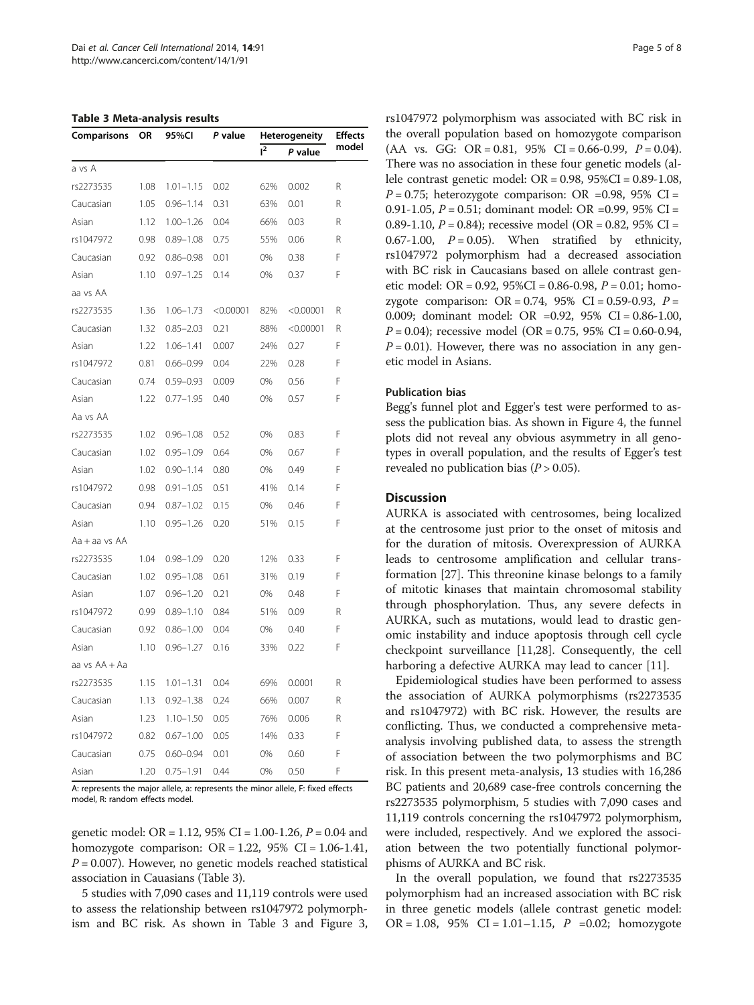<span id="page-4-0"></span>Table 3 Meta-analysis results

| $1^2$<br>P value<br>a vs A<br>1.08<br>$1.01 - 1.15$<br>0.02<br>62%<br>0.002<br>R<br>rs2273535<br>R<br>Caucasian<br>1.05<br>$0.96 - 1.14$<br>0.31<br>63%<br>0.01<br>R<br>Asian<br>1.12<br>$1.00 - 1.26$<br>0.04<br>66%<br>0.03<br>rs1047972<br>0.98<br>$0.89 - 1.08$<br>0.75<br>55%<br>0.06<br>R<br>F<br>Caucasian<br>$0.86 - 0.98$<br>0.38<br>0.92<br>0.01<br>0%<br>F<br>Asian<br>1.10<br>$0.97 - 1.25$<br>0.14<br>0%<br>0.37<br>aa vs AA<br>rs2273535<br>1.36<br>$1.06 - 1.73$<br>< 0.00001<br>82%<br>< 0.00001<br>R<br>Caucasian<br>1.32<br>$0.85 - 2.03$<br>0.21<br>88%<br>< 0.00001<br>R<br>F<br>Asian<br>1.22<br>$1.06 - 1.41$<br>0.007<br>0.27<br>24%<br>F<br>rs1047972<br>0.81<br>$0.66 - 0.99$<br>0.04<br>22%<br>0.28<br>F<br>$0.59 - 0.93$<br>0.56<br>Caucasian<br>0.74<br>0.009<br>0%<br>F<br>Asian<br>1.22<br>$0.77 - 1.95$<br>0.40<br>0%<br>0.57<br>Aa vs AA<br>F<br>rs2273535<br>1.02<br>$0.96 - 1.08$<br>0.52<br>0%<br>0.83<br>F<br>Caucasian<br>1.02<br>$0.95 - 1.09$<br>0.64<br>0%<br>0.67<br>F<br>Asian<br>1.02<br>$0.90 - 1.14$<br>0.80<br>0%<br>0.49<br>F<br>rs1047972<br>0.98<br>$0.91 - 1.05$<br>0.51<br>41%<br>0.14<br>F<br>Caucasian<br>0.94<br>$0.87 - 1.02$<br>0.15<br>0%<br>0.46<br>F<br>Asian<br>1.10<br>$0.95 - 1.26$<br>0.20<br>51%<br>0.15<br>Aa + aa vs AA<br>F<br>rs2273535<br>$0.98 - 1.09$<br>0.20<br>12%<br>0.33<br>1.04<br>F<br>Caucasian<br>1.02<br>$0.95 - 1.08$<br>0.61<br>31%<br>0.19<br>F<br>$0.96 - 1.20$<br>Asian<br>1.07<br>0.21<br>0%<br>0.48<br>R<br>rs1047972<br>0.99<br>$0.89 - 1.10$<br>0.84<br>51%<br>0.09 | Comparisons | OR<br>95%CI |               | P value | Heterogeneity | <b>Effects</b> |       |
|--------------------------------------------------------------------------------------------------------------------------------------------------------------------------------------------------------------------------------------------------------------------------------------------------------------------------------------------------------------------------------------------------------------------------------------------------------------------------------------------------------------------------------------------------------------------------------------------------------------------------------------------------------------------------------------------------------------------------------------------------------------------------------------------------------------------------------------------------------------------------------------------------------------------------------------------------------------------------------------------------------------------------------------------------------------------------------------------------------------------------------------------------------------------------------------------------------------------------------------------------------------------------------------------------------------------------------------------------------------------------------------------------------------------------------------------------------------------------------------------------------------------------------------------------------------|-------------|-------------|---------------|---------|---------------|----------------|-------|
|                                                                                                                                                                                                                                                                                                                                                                                                                                                                                                                                                                                                                                                                                                                                                                                                                                                                                                                                                                                                                                                                                                                                                                                                                                                                                                                                                                                                                                                                                                                                                              |             |             |               |         |               |                | model |
|                                                                                                                                                                                                                                                                                                                                                                                                                                                                                                                                                                                                                                                                                                                                                                                                                                                                                                                                                                                                                                                                                                                                                                                                                                                                                                                                                                                                                                                                                                                                                              |             |             |               |         |               |                |       |
|                                                                                                                                                                                                                                                                                                                                                                                                                                                                                                                                                                                                                                                                                                                                                                                                                                                                                                                                                                                                                                                                                                                                                                                                                                                                                                                                                                                                                                                                                                                                                              |             |             |               |         |               |                |       |
|                                                                                                                                                                                                                                                                                                                                                                                                                                                                                                                                                                                                                                                                                                                                                                                                                                                                                                                                                                                                                                                                                                                                                                                                                                                                                                                                                                                                                                                                                                                                                              |             |             |               |         |               |                |       |
|                                                                                                                                                                                                                                                                                                                                                                                                                                                                                                                                                                                                                                                                                                                                                                                                                                                                                                                                                                                                                                                                                                                                                                                                                                                                                                                                                                                                                                                                                                                                                              |             |             |               |         |               |                |       |
|                                                                                                                                                                                                                                                                                                                                                                                                                                                                                                                                                                                                                                                                                                                                                                                                                                                                                                                                                                                                                                                                                                                                                                                                                                                                                                                                                                                                                                                                                                                                                              |             |             |               |         |               |                |       |
|                                                                                                                                                                                                                                                                                                                                                                                                                                                                                                                                                                                                                                                                                                                                                                                                                                                                                                                                                                                                                                                                                                                                                                                                                                                                                                                                                                                                                                                                                                                                                              |             |             |               |         |               |                |       |
|                                                                                                                                                                                                                                                                                                                                                                                                                                                                                                                                                                                                                                                                                                                                                                                                                                                                                                                                                                                                                                                                                                                                                                                                                                                                                                                                                                                                                                                                                                                                                              |             |             |               |         |               |                |       |
|                                                                                                                                                                                                                                                                                                                                                                                                                                                                                                                                                                                                                                                                                                                                                                                                                                                                                                                                                                                                                                                                                                                                                                                                                                                                                                                                                                                                                                                                                                                                                              |             |             |               |         |               |                |       |
|                                                                                                                                                                                                                                                                                                                                                                                                                                                                                                                                                                                                                                                                                                                                                                                                                                                                                                                                                                                                                                                                                                                                                                                                                                                                                                                                                                                                                                                                                                                                                              |             |             |               |         |               |                |       |
|                                                                                                                                                                                                                                                                                                                                                                                                                                                                                                                                                                                                                                                                                                                                                                                                                                                                                                                                                                                                                                                                                                                                                                                                                                                                                                                                                                                                                                                                                                                                                              |             |             |               |         |               |                |       |
|                                                                                                                                                                                                                                                                                                                                                                                                                                                                                                                                                                                                                                                                                                                                                                                                                                                                                                                                                                                                                                                                                                                                                                                                                                                                                                                                                                                                                                                                                                                                                              |             |             |               |         |               |                |       |
|                                                                                                                                                                                                                                                                                                                                                                                                                                                                                                                                                                                                                                                                                                                                                                                                                                                                                                                                                                                                                                                                                                                                                                                                                                                                                                                                                                                                                                                                                                                                                              |             |             |               |         |               |                |       |
|                                                                                                                                                                                                                                                                                                                                                                                                                                                                                                                                                                                                                                                                                                                                                                                                                                                                                                                                                                                                                                                                                                                                                                                                                                                                                                                                                                                                                                                                                                                                                              |             |             |               |         |               |                |       |
|                                                                                                                                                                                                                                                                                                                                                                                                                                                                                                                                                                                                                                                                                                                                                                                                                                                                                                                                                                                                                                                                                                                                                                                                                                                                                                                                                                                                                                                                                                                                                              |             |             |               |         |               |                |       |
|                                                                                                                                                                                                                                                                                                                                                                                                                                                                                                                                                                                                                                                                                                                                                                                                                                                                                                                                                                                                                                                                                                                                                                                                                                                                                                                                                                                                                                                                                                                                                              |             |             |               |         |               |                |       |
|                                                                                                                                                                                                                                                                                                                                                                                                                                                                                                                                                                                                                                                                                                                                                                                                                                                                                                                                                                                                                                                                                                                                                                                                                                                                                                                                                                                                                                                                                                                                                              |             |             |               |         |               |                |       |
|                                                                                                                                                                                                                                                                                                                                                                                                                                                                                                                                                                                                                                                                                                                                                                                                                                                                                                                                                                                                                                                                                                                                                                                                                                                                                                                                                                                                                                                                                                                                                              |             |             |               |         |               |                |       |
|                                                                                                                                                                                                                                                                                                                                                                                                                                                                                                                                                                                                                                                                                                                                                                                                                                                                                                                                                                                                                                                                                                                                                                                                                                                                                                                                                                                                                                                                                                                                                              |             |             |               |         |               |                |       |
|                                                                                                                                                                                                                                                                                                                                                                                                                                                                                                                                                                                                                                                                                                                                                                                                                                                                                                                                                                                                                                                                                                                                                                                                                                                                                                                                                                                                                                                                                                                                                              |             |             |               |         |               |                |       |
|                                                                                                                                                                                                                                                                                                                                                                                                                                                                                                                                                                                                                                                                                                                                                                                                                                                                                                                                                                                                                                                                                                                                                                                                                                                                                                                                                                                                                                                                                                                                                              |             |             |               |         |               |                |       |
|                                                                                                                                                                                                                                                                                                                                                                                                                                                                                                                                                                                                                                                                                                                                                                                                                                                                                                                                                                                                                                                                                                                                                                                                                                                                                                                                                                                                                                                                                                                                                              |             |             |               |         |               |                |       |
|                                                                                                                                                                                                                                                                                                                                                                                                                                                                                                                                                                                                                                                                                                                                                                                                                                                                                                                                                                                                                                                                                                                                                                                                                                                                                                                                                                                                                                                                                                                                                              |             |             |               |         |               |                |       |
|                                                                                                                                                                                                                                                                                                                                                                                                                                                                                                                                                                                                                                                                                                                                                                                                                                                                                                                                                                                                                                                                                                                                                                                                                                                                                                                                                                                                                                                                                                                                                              |             |             |               |         |               |                |       |
|                                                                                                                                                                                                                                                                                                                                                                                                                                                                                                                                                                                                                                                                                                                                                                                                                                                                                                                                                                                                                                                                                                                                                                                                                                                                                                                                                                                                                                                                                                                                                              |             |             |               |         |               |                |       |
|                                                                                                                                                                                                                                                                                                                                                                                                                                                                                                                                                                                                                                                                                                                                                                                                                                                                                                                                                                                                                                                                                                                                                                                                                                                                                                                                                                                                                                                                                                                                                              |             |             |               |         |               |                |       |
|                                                                                                                                                                                                                                                                                                                                                                                                                                                                                                                                                                                                                                                                                                                                                                                                                                                                                                                                                                                                                                                                                                                                                                                                                                                                                                                                                                                                                                                                                                                                                              |             |             |               |         |               |                |       |
|                                                                                                                                                                                                                                                                                                                                                                                                                                                                                                                                                                                                                                                                                                                                                                                                                                                                                                                                                                                                                                                                                                                                                                                                                                                                                                                                                                                                                                                                                                                                                              | Caucasian   | 0.92        | $0.86 - 1.00$ | 0.04    | 0%            | 0.40           | F     |
| F<br>$0.96 - 1.27$<br>Asian<br>1.10<br>0.16<br>33%<br>0.22                                                                                                                                                                                                                                                                                                                                                                                                                                                                                                                                                                                                                                                                                                                                                                                                                                                                                                                                                                                                                                                                                                                                                                                                                                                                                                                                                                                                                                                                                                   |             |             |               |         |               |                |       |
| aa vs AA + Aa                                                                                                                                                                                                                                                                                                                                                                                                                                                                                                                                                                                                                                                                                                                                                                                                                                                                                                                                                                                                                                                                                                                                                                                                                                                                                                                                                                                                                                                                                                                                                |             |             |               |         |               |                |       |
| R<br>rs2273535<br>1.15<br>$1.01 - 1.31$<br>0.04<br>69%<br>0.0001                                                                                                                                                                                                                                                                                                                                                                                                                                                                                                                                                                                                                                                                                                                                                                                                                                                                                                                                                                                                                                                                                                                                                                                                                                                                                                                                                                                                                                                                                             |             |             |               |         |               |                |       |
| R<br>Caucasian<br>$0.92 - 1.38$<br>0.24<br>66%<br>0.007<br>1.13                                                                                                                                                                                                                                                                                                                                                                                                                                                                                                                                                                                                                                                                                                                                                                                                                                                                                                                                                                                                                                                                                                                                                                                                                                                                                                                                                                                                                                                                                              |             |             |               |         |               |                |       |
| 1.23<br>$1.10 - 1.50$<br>0.05<br>76%<br>0.006<br>R<br>Asian                                                                                                                                                                                                                                                                                                                                                                                                                                                                                                                                                                                                                                                                                                                                                                                                                                                                                                                                                                                                                                                                                                                                                                                                                                                                                                                                                                                                                                                                                                  |             |             |               |         |               |                |       |
| F<br>rs1047972<br>14%<br>0.33<br>0.82<br>$0.67 - 1.00$<br>0.05                                                                                                                                                                                                                                                                                                                                                                                                                                                                                                                                                                                                                                                                                                                                                                                                                                                                                                                                                                                                                                                                                                                                                                                                                                                                                                                                                                                                                                                                                               |             |             |               |         |               |                |       |
| F<br>Caucasian<br>0.75<br>$0.60 - 0.94$<br>0.60<br>0.01<br>0%                                                                                                                                                                                                                                                                                                                                                                                                                                                                                                                                                                                                                                                                                                                                                                                                                                                                                                                                                                                                                                                                                                                                                                                                                                                                                                                                                                                                                                                                                                |             |             |               |         |               |                |       |
| F<br>1.20<br>$0.75 - 1.91$<br>0%<br>0.50<br>Asian<br>0.44                                                                                                                                                                                                                                                                                                                                                                                                                                                                                                                                                                                                                                                                                                                                                                                                                                                                                                                                                                                                                                                                                                                                                                                                                                                                                                                                                                                                                                                                                                    |             |             |               |         |               |                |       |

A: represents the major allele, a: represents the minor allele, F: fixed effects model, R: random effects model.

genetic model: OR = 1.12, 95% CI = 1.00-1.26,  $P = 0.04$  and homozygote comparison: OR = 1.22, 95% CI = 1.06-1.41,  $P = 0.007$ ). However, no genetic models reached statistical association in Cauasians (Table 3).

5 studies with 7,090 cases and 11,119 controls were used to assess the relationship between rs1047972 polymorphism and BC risk. As shown in Table 3 and Figure [3](#page-6-0), rs1047972 polymorphism was associated with BC risk in the overall population based on homozygote comparison  $(AA \text{ vs. GG: OR} = 0.81, 95\% \text{ CI} = 0.66-0.99, P = 0.04).$ There was no association in these four genetic models (allele contrast genetic model: OR = 0.98, 95%CI = 0.89-1.08,  $P = 0.75$ ; heterozygote comparison: OR =0.98, 95% CI = 0.91-1.05,  $P = 0.51$ ; dominant model: OR =0.99, 95% CI = 0.89-1.10,  $P = 0.84$ ; recessive model (OR = 0.82, 95% CI = 0.67-1.00,  $P = 0.05$ ). When stratified by ethnicity, rs1047972 polymorphism had a decreased association with BC risk in Caucasians based on allele contrast genetic model: OR = 0.92,  $95\%CI = 0.86 - 0.98$ ,  $P = 0.01$ ; homozygote comparison:  $OR = 0.74$ ,  $95\%$  CI = 0.59-0.93,  $P =$ 0.009; dominant model: OR =0.92, 95% CI = 0.86-1.00,  $P = 0.04$ ; recessive model (OR = 0.75, 95% CI = 0.60-0.94,  $P = 0.01$ ). However, there was no association in any genetic model in Asians.

### Publication bias

Begg's funnel plot and Egger's test were performed to assess the publication bias. As shown in Figure [4,](#page-6-0) the funnel plots did not reveal any obvious asymmetry in all genotypes in overall population, and the results of Egger's test revealed no publication bias ( $P > 0.05$ ).

#### **Discussion**

AURKA is associated with centrosomes, being localized at the centrosome just prior to the onset of mitosis and for the duration of mitosis. Overexpression of AURKA leads to centrosome amplification and cellular transformation [\[27](#page-7-0)]. This threonine kinase belongs to a family of mitotic kinases that maintain chromosomal stability through phosphorylation. Thus, any severe defects in AURKA, such as mutations, would lead to drastic genomic instability and induce apoptosis through cell cycle checkpoint surveillance [\[11,28](#page-7-0)]. Consequently, the cell harboring a defective AURKA may lead to cancer [[11\]](#page-7-0).

Epidemiological studies have been performed to assess the association of AURKA polymorphisms (rs2273535 and rs1047972) with BC risk. However, the results are conflicting. Thus, we conducted a comprehensive metaanalysis involving published data, to assess the strength of association between the two polymorphisms and BC risk. In this present meta-analysis, 13 studies with 16,286 BC patients and 20,689 case-free controls concerning the rs2273535 polymorphism, 5 studies with 7,090 cases and 11,119 controls concerning the rs1047972 polymorphism, were included, respectively. And we explored the association between the two potentially functional polymorphisms of AURKA and BC risk.

In the overall population, we found that rs2273535 polymorphism had an increased association with BC risk in three genetic models (allele contrast genetic model: OR = 1.08, 95% CI = 1.01-1.15,  $P = 0.02$ ; homozygote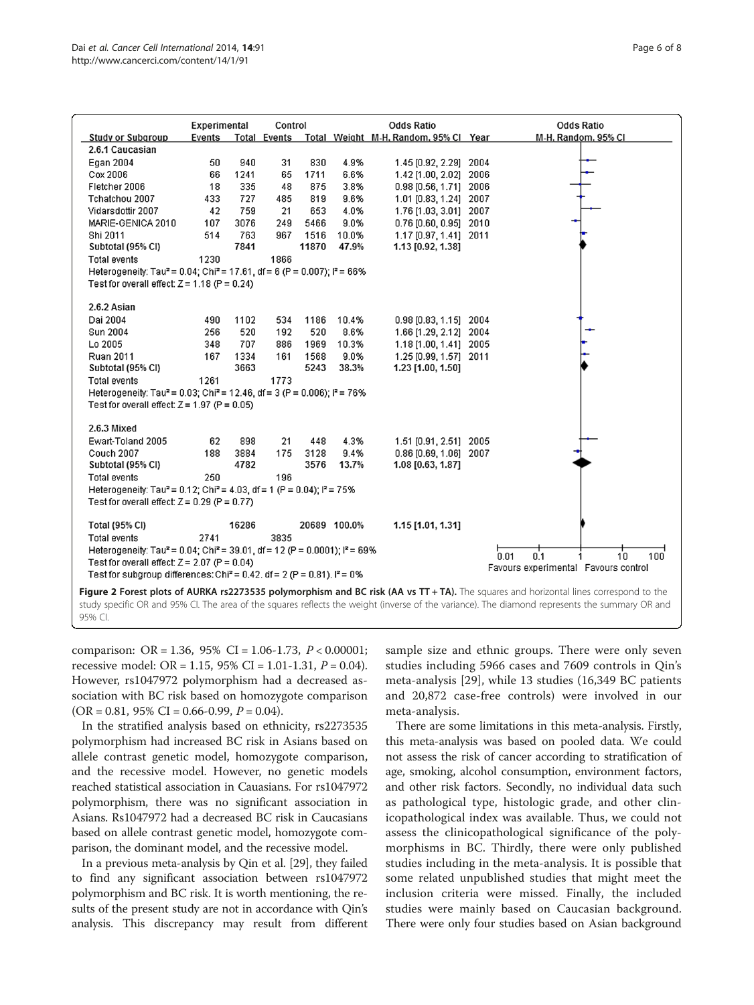<span id="page-5-0"></span>

|                                                                                                                                                                                                | Experimental<br>Control |              |      |       | <b>Odds Ratio</b> |                                                    | <b>Odds Ratio</b> |                                      |  |
|------------------------------------------------------------------------------------------------------------------------------------------------------------------------------------------------|-------------------------|--------------|------|-------|-------------------|----------------------------------------------------|-------------------|--------------------------------------|--|
| <b>Study or Subgroup</b>                                                                                                                                                                       | Events                  |              |      |       |                   | Total Events Total Weight M-H, Random, 95% Cl Year |                   | M-H. Random, 95% CI                  |  |
| 2.6.1 Caucasian                                                                                                                                                                                |                         |              |      |       |                   |                                                    |                   |                                      |  |
| Egan 2004                                                                                                                                                                                      | 50                      | 940          | 31   | 830   | 4.9%              | 1.45 [0.92, 2.29] 2004                             |                   |                                      |  |
| Cox 2006                                                                                                                                                                                       | 66                      | 1241         | 65   | 1711  | 6.6%              | 1.42 [1.00, 2.02] 2006                             |                   |                                      |  |
| Fletcher 2006                                                                                                                                                                                  | 18                      | 335          | 48   | 875   | 3.8%              | 0.98 [0.56, 1.71] 2006                             |                   |                                      |  |
| Tchatchou 2007                                                                                                                                                                                 | 433                     | 727          | 485  | 819   | 9.6%              | 1.01 [0.83, 1.24] 2007                             |                   |                                      |  |
| Vidarsdottir 2007                                                                                                                                                                              | 42                      | 759          | 21   | 653   | 4.0%              | 1.76 [1.03, 3.01] 2007                             |                   |                                      |  |
| MARIE-GENICA 2010                                                                                                                                                                              | 107                     | 3076         | 249  | 5466  | 9.0%              | 0.76 [0.60, 0.95] 2010                             |                   |                                      |  |
| Shi 2011                                                                                                                                                                                       | 514                     | 763          | 967  | 1516  | 10.0%             | 1.17 [0.97, 1.41] 2011                             |                   |                                      |  |
| Subtotal (95% CI)                                                                                                                                                                              |                         | 7841         |      | 11870 | 47.9%             | 1.13 [0.92, 1.38]                                  |                   |                                      |  |
| <b>Total events</b>                                                                                                                                                                            | 1230                    |              | 1866 |       |                   |                                                    |                   |                                      |  |
| Heterogeneity: Tau <sup>2</sup> = 0.04; Chi <sup>2</sup> = 17.61, df = 6 (P = 0.007); $P = 66\%$                                                                                               |                         |              |      |       |                   |                                                    |                   |                                      |  |
| Test for overall effect: $Z = 1.18$ (P = 0.24)                                                                                                                                                 |                         |              |      |       |                   |                                                    |                   |                                      |  |
|                                                                                                                                                                                                |                         |              |      |       |                   |                                                    |                   |                                      |  |
| 2.6.2 Asian<br>Dai 2004                                                                                                                                                                        |                         |              |      |       |                   |                                                    |                   |                                      |  |
|                                                                                                                                                                                                | 490                     | 1102         | 534  | 1186  | 10.4%             | $0.98$ [0.83, 1.15] 2004                           |                   |                                      |  |
| Sun 2004                                                                                                                                                                                       | 256                     | 520          | 192  | 520   | 8.6%              | 1.66 [1.29, 2.12] 2004                             |                   |                                      |  |
| Lo 2005                                                                                                                                                                                        | 348                     | 707          | 886  | 1969  | 10.3%             | 1.18 [1.00, 1.41] 2005                             |                   |                                      |  |
| <b>Ruan 2011</b>                                                                                                                                                                               | 167                     | 1334<br>3663 | 161  | 1568  | 9.0%<br>38.3%     | 1.25 [0.99, 1.57] 2011                             |                   |                                      |  |
| Subtotal (95% CI)                                                                                                                                                                              |                         |              |      | 5243  |                   | 1.23 [1.00, 1.50]                                  |                   |                                      |  |
| <b>Total events</b>                                                                                                                                                                            | 1261                    |              | 1773 |       |                   |                                                    |                   |                                      |  |
| Heterogeneity: Tau <sup>2</sup> = 0.03; Chi <sup>2</sup> = 12.46, df = 3 (P = 0.006); $P = 76\%$<br>Test for overall effect: $Z = 1.97$ (P = 0.05)                                             |                         |              |      |       |                   |                                                    |                   |                                      |  |
|                                                                                                                                                                                                |                         |              |      |       |                   |                                                    |                   |                                      |  |
| 2.6.3 Mixed                                                                                                                                                                                    |                         |              |      |       |                   |                                                    |                   |                                      |  |
| Ewart-Toland 2005                                                                                                                                                                              | 62                      | 898          | 21   | 448   | 4.3%              | 1.51 [0.91, 2.51] 2005                             |                   |                                      |  |
| Couch 2007                                                                                                                                                                                     | 188                     | 3884         | 175  | 3128  | 9.4%              | 0.86 [0.69, 1.06] 2007                             |                   |                                      |  |
| Subtotal (95% CI)                                                                                                                                                                              |                         | 4782         |      | 3576  | 13.7%             | 1.08 [0.63, 1.87]                                  |                   |                                      |  |
| <b>Total events</b>                                                                                                                                                                            | 250                     |              | 196  |       |                   |                                                    |                   |                                      |  |
| Heterogeneity: Tau <sup>2</sup> = 0.12; Chi <sup>2</sup> = 4.03, df = 1 (P = 0.04); $P = 75\%$                                                                                                 |                         |              |      |       |                   |                                                    |                   |                                      |  |
| Test for overall effect: $Z = 0.29$ (P = 0.77)                                                                                                                                                 |                         |              |      |       |                   |                                                    |                   |                                      |  |
| <b>Total (95% CI)</b>                                                                                                                                                                          |                         | 16286        |      |       | 20689 100.0%      | 1.15 [1.01, 1.31]                                  |                   |                                      |  |
| <b>Total events</b>                                                                                                                                                                            | 2741                    |              | 3835 |       |                   |                                                    |                   |                                      |  |
|                                                                                                                                                                                                |                         |              |      |       |                   |                                                    |                   |                                      |  |
| Heterogeneity: Tau <sup>2</sup> = 0.04; Chi <sup>2</sup> = 39.01, df = 12 (P = 0.0001); $P = 69\%$<br>0.1<br>10 <sup>10</sup><br>0.01<br>100<br>Test for overall effect: $Z = 2.07$ (P = 0.04) |                         |              |      |       |                   |                                                    |                   |                                      |  |
| Test for subgroup differences: Chi <sup>2</sup> = 0.42, df = 2 (P = 0.81), $I^2$ = 0%                                                                                                          |                         |              |      |       |                   |                                                    |                   | Favours experimental Favours control |  |
|                                                                                                                                                                                                |                         |              |      |       |                   |                                                    |                   |                                      |  |
| Figure 2 Forest plots of AURKA rs2273535 polymorphism and BC risk (AA vs TT + TA). The squares and horizontal lines correspond to the                                                          |                         |              |      |       |                   |                                                    |                   |                                      |  |

study specific OR and 95% CI. The area of the squares reflects the weight (inverse of the variance). The diamond represents the summary OR and 95% CI.

comparison: OR = 1.36, 95% CI = 1.06-1.73,  $P < 0.00001$ ; recessive model: OR = 1.15, 95% CI = 1.01-1.31,  $P = 0.04$ ). However, rs1047972 polymorphism had a decreased association with BC risk based on homozygote comparison  $(OR = 0.81, 95\% CI = 0.66 - 0.99, P = 0.04).$ 

In the stratified analysis based on ethnicity, rs2273535 polymorphism had increased BC risk in Asians based on allele contrast genetic model, homozygote comparison, and the recessive model. However, no genetic models reached statistical association in Cauasians. For rs1047972 polymorphism, there was no significant association in Asians. Rs1047972 had a decreased BC risk in Caucasians based on allele contrast genetic model, homozygote comparison, the dominant model, and the recessive model.

In a previous meta-analysis by Qin et al. [[29](#page-7-0)], they failed to find any significant association between rs1047972 polymorphism and BC risk. It is worth mentioning, the results of the present study are not in accordance with Qin's analysis. This discrepancy may result from different sample size and ethnic groups. There were only seven studies including 5966 cases and 7609 controls in Qin's meta-analysis [\[29](#page-7-0)], while 13 studies (16,349 BC patients and 20,872 case-free controls) were involved in our meta-analysis.

There are some limitations in this meta-analysis. Firstly, this meta-analysis was based on pooled data. We could not assess the risk of cancer according to stratification of age, smoking, alcohol consumption, environment factors, and other risk factors. Secondly, no individual data such as pathological type, histologic grade, and other clinicopathological index was available. Thus, we could not assess the clinicopathological significance of the polymorphisms in BC. Thirdly, there were only published studies including in the meta-analysis. It is possible that some related unpublished studies that might meet the inclusion criteria were missed. Finally, the included studies were mainly based on Caucasian background. There were only four studies based on Asian background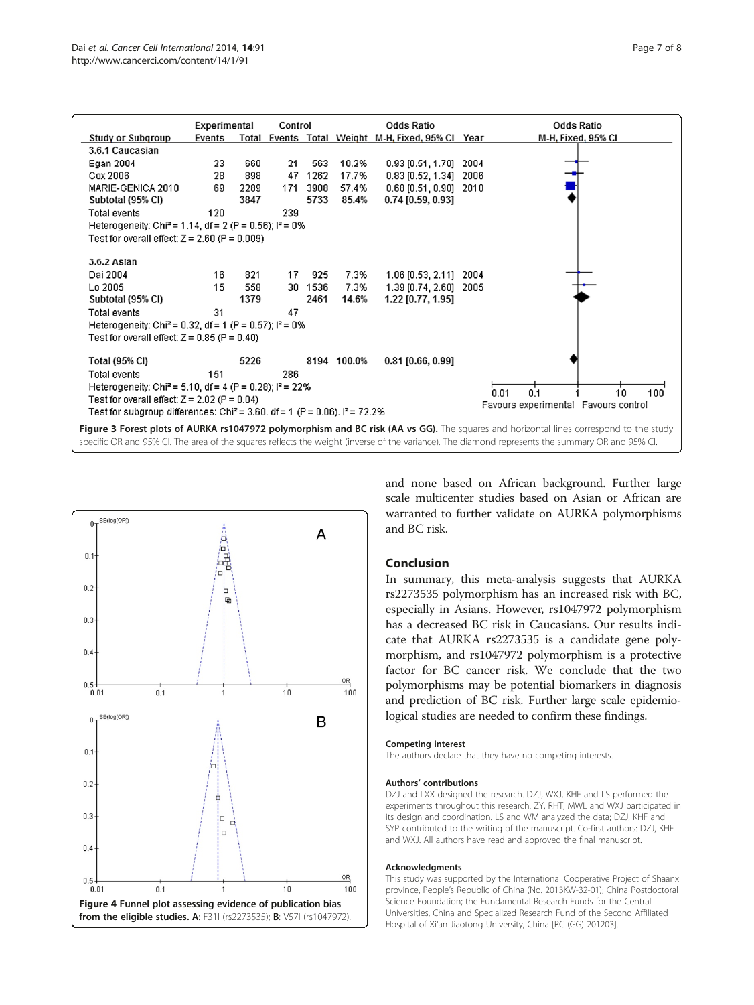<span id="page-6-0"></span>

|                                                                                                                                                  | Experimental | Control<br><b>Odds Ratio</b> |     |         |             |                                                   |      | <b>Odds Ratio</b>                    |  |
|--------------------------------------------------------------------------------------------------------------------------------------------------|--------------|------------------------------|-----|---------|-------------|---------------------------------------------------|------|--------------------------------------|--|
| <b>Study or Subgroup</b>                                                                                                                         | Events       |                              |     |         |             | Total Events Total Weight M-H, Fixed, 95% Cl Year |      | M-H, Fixed, 95% CI                   |  |
| 3.6.1 Caucasian                                                                                                                                  |              |                              |     |         |             |                                                   |      |                                      |  |
| Egan 2004                                                                                                                                        | 23           | 660                          | 21  | 563     | 10.2%       | $0.93$ [0.51, 1.70]                               | 2004 |                                      |  |
| Cox 2006                                                                                                                                         | 28           | 898                          | 47  | 1262    | 17.7%       | $0.83$ [0.52, 1.34]                               | 2006 |                                      |  |
| MARIE-GENICA 2010                                                                                                                                | 69           | 2289                         | 171 | 3908    | 57.4%       | 0.68 [0.51, 0.90] 2010                            |      |                                      |  |
| Subtotal (95% CI)                                                                                                                                |              | 3847                         |     | 5733    | 85.4%       | $0.74$ [0.59, 0.93]                               |      |                                      |  |
| <b>Total events</b>                                                                                                                              | 120          |                              | 239 |         |             |                                                   |      |                                      |  |
| Heterogeneity: Chi <sup>2</sup> = 1.14, df = 2 (P = 0.56); $I^2 = 0\%$                                                                           |              |                              |     |         |             |                                                   |      |                                      |  |
| Test for overall effect: $Z = 2.60$ (P = 0.009)                                                                                                  |              |                              |     |         |             |                                                   |      |                                      |  |
|                                                                                                                                                  |              |                              |     |         |             |                                                   |      |                                      |  |
| 3.6.2 Aslan                                                                                                                                      |              |                              |     |         |             |                                                   |      |                                      |  |
| Dai 2004                                                                                                                                         | 16           | 821                          | 17  | 925     | 7.3%        | 1.06 [0.53, 2.11]                                 | 2004 |                                      |  |
| Lo 2005                                                                                                                                          | 15           | 558                          |     | 30 1536 | 7.3%        | 1.39 [0.74, 2.60]                                 | 2005 |                                      |  |
| Subtotal (95% CI)                                                                                                                                |              | 1379                         |     | 2461    | 14.6%       | 1.22 [0.77, 1.95]                                 |      |                                      |  |
| Total events                                                                                                                                     | 31           |                              | 47  |         |             |                                                   |      |                                      |  |
| Heterogeneity: Chi <sup>2</sup> = 0.32, df = 1 (P = 0.57); $P = 0\%$                                                                             |              |                              |     |         |             |                                                   |      |                                      |  |
| Test for overall effect: $Z = 0.85$ (P = 0.40)                                                                                                   |              |                              |     |         |             |                                                   |      |                                      |  |
| Total (95% CI)                                                                                                                                   |              | 5226                         |     |         | 8194 100.0% | $0.81$ [0.66, 0.99]                               |      |                                      |  |
| <b>Total events</b>                                                                                                                              | 151          |                              | 286 |         |             |                                                   |      |                                      |  |
| Heterogeneity: Chi <sup>2</sup> = 5.10, df = 4 (P = 0.28); $P = 22\%$                                                                            |              |                              |     |         |             |                                                   |      |                                      |  |
| 0.1<br>0.01<br>10<br>100<br>Test for overall effect: $Z = 2.02$ (P = 0.04)                                                                       |              |                              |     |         |             |                                                   |      |                                      |  |
| Test for subgroup differences: Chi <sup>2</sup> = 3.60, df = 1 (P = 0.06), $P = 72.2\%$                                                          |              |                              |     |         |             |                                                   |      | Favours experimental Favours control |  |
|                                                                                                                                                  |              |                              |     |         |             |                                                   |      |                                      |  |
| Figure 3 Forest plots of AURKA rs1047972 polymorphism and BC risk (AA vs GG). The squares and horizontal lines correspond to the study           |              |                              |     |         |             |                                                   |      |                                      |  |
| specific OR and 95% CI. The area of the squares reflects the weight (inverse of the variance). The diamond represents the summary OR and 95% CI. |              |                              |     |         |             |                                                   |      |                                      |  |



and none based on African background. Further large scale multicenter studies based on Asian or African are warranted to further validate on AURKA polymorphisms and BC risk.

# Conclusion

In summary, this meta-analysis suggests that AURKA rs2273535 polymorphism has an increased risk with BC, especially in Asians. However, rs1047972 polymorphism has a decreased BC risk in Caucasians. Our results indicate that AURKA rs2273535 is a candidate gene polymorphism, and rs1047972 polymorphism is a protective factor for BC cancer risk. We conclude that the two polymorphisms may be potential biomarkers in diagnosis and prediction of BC risk. Further large scale epidemiological studies are needed to confirm these findings.

#### Competing interest

The authors declare that they have no competing interests.

#### Authors' contributions

DZJ and LXX designed the research. DZJ, WXJ, KHF and LS performed the experiments throughout this research. ZY, RHT, MWL and WXJ participated in its design and coordination. LS and WM analyzed the data; DZJ, KHF and SYP contributed to the writing of the manuscript. Co-first authors: DZJ, KHF and WXJ. All authors have read and approved the final manuscript.

#### Acknowledgments

This study was supported by the International Cooperative Project of Shaanxi province, People's Republic of China (No. 2013KW-32-01); China Postdoctoral Science Foundation; the Fundamental Research Funds for the Central Universities, China and Specialized Research Fund of the Second Affiliated Hospital of Xi'an Jiaotong University, China [RC (GG) 201203].